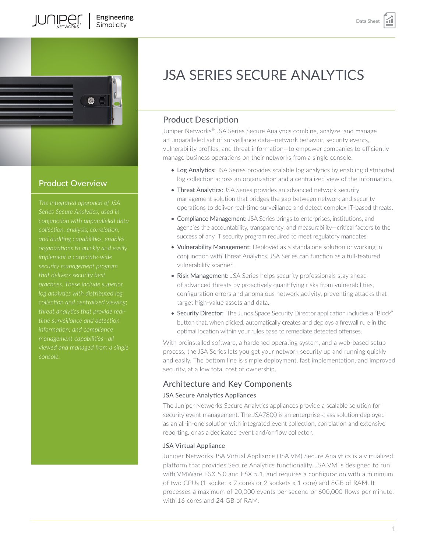

# Product Overview

*The integrated approach of JSA Series Secure Analytics, used in and auditing capabilities, enables practices. These include superior log analytics with distributed log threat analytics that provide realmanagement capabilities—all* 

# JSA SERIES SECURE ANALYTICS

# Product Description

Juniper Networks® JSA Series Secure Analytics combine, analyze, and manage an unparalleled set of surveillance data—network behavior, security events, vulnerability profiles, and threat information—to empower companies to efficiently manage business operations on their networks from a single console.

- Log Analytics: JSA Series provides scalable log analytics by enabling distributed log collection across an organization and a centralized view of the information.
- Threat Analytics: JSA Series provides an advanced network security management solution that bridges the gap between network and security operations to deliver real-time surveillance and detect complex IT-based threats.
- Compliance Management: JSA Series brings to enterprises, institutions, and agencies the accountability, transparency, and measurability—critical factors to the success of any IT security program required to meet regulatory mandates.
- Vulnerability Management: Deployed as a standalone solution or working in conjunction with Threat Analytics, JSA Series can function as a full-featured vulnerability scanner.
- Risk Management: JSA Series helps security professionals stay ahead of advanced threats by proactively quantifying risks from vulnerabilities, configuration errors and anomalous network activity, preventing attacks that target high-value assets and data.
- Security Director: The Junos Space Security Director application includes a "Block" button that, when clicked, automatically creates and deploys a firewall rule in the optimal location within your rules base to remediate detected offenses.

With preinstalled software, a hardened operating system, and a web-based setup process, the JSA Series lets you get your network security up and running quickly and easily. The bottom line is simple deployment, fast implementation, and improved security, at a low total cost of ownership.

# Architecture and Key Components

## JSA Secure Analytics Appliances

The Juniper Networks Secure Analytics appliances provide a scalable solution for security event management. The JSA7800 is an enterprise-class solution deployed as an all-in-one solution with integrated event collection, correlation and extensive reporting, or as a dedicated event and/or flow collector.

## JSA Virtual Appliance

Juniper Networks JSA Virtual Appliance (JSA VM) Secure Analytics is a virtualized platform that provides Secure Analytics functionality. JSA VM is designed to run with VMWare ESX 5.0 and ESX 5.1, and requires a configuration with a minimum of two CPUs (1 socket x 2 cores or 2 sockets x 1 core) and 8GB of RAM. It processes a maximum of 20,000 events per second or 600,000 flows per minute, with 16 cores and 24 GB of RAM.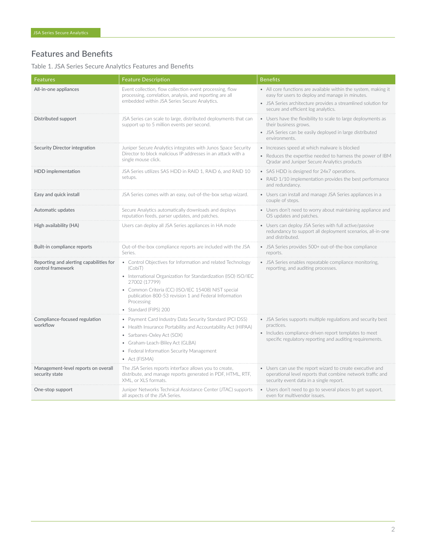# Features and Benefits

Table 1. JSA Series Secure Analytics Features and Benefits

| <b>Features</b>                                              | <b>Feature Description</b>                                                                                                                                                                                                                                                                                       | <b>Benefits</b>                                                                                                                                                                                                            |
|--------------------------------------------------------------|------------------------------------------------------------------------------------------------------------------------------------------------------------------------------------------------------------------------------------------------------------------------------------------------------------------|----------------------------------------------------------------------------------------------------------------------------------------------------------------------------------------------------------------------------|
| All-in-one appliances                                        | Event collection, flow collection event processing, flow<br>processing, correlation, analysis, and reporting are all<br>embedded within JSA Series Secure Analytics.                                                                                                                                             | • All core functions are available within the system, making it<br>easy for users to deploy and manage in minutes.<br>• JSA Series architecture provides a streamlined solution for<br>secure and efficient log analytics. |
| Distributed support                                          | JSA Series can scale to large, distributed deployments that can<br>support up to 5 million events per second.                                                                                                                                                                                                    | • Users have the flexibility to scale to large deployments as<br>their business grows.<br>• JSA Series can be easily deployed in large distributed<br>environments.                                                        |
| Security Director integration                                | Juniper Secure Analytics integrates with Junos Space Security<br>Director to block malicious IP addresses in an attack with a<br>single mouse click.                                                                                                                                                             | • Increases speed at which malware is blocked<br>• Reduces the expertise needed to harness the power of IBM<br>Qradar and Juniper Secure Analytics products                                                                |
| <b>HDD</b> implementation                                    | JSA Series utilizes SAS HDD in RAID 1, RAID 6, and RAID 10<br>setups.                                                                                                                                                                                                                                            | • SAS HDD is designed for 24x7 operations.<br>• RAID 1/10 implementation provides the best performance<br>and redundancy.                                                                                                  |
| Easy and quick install                                       | JSA Series comes with an easy, out-of-the-box setup wizard.                                                                                                                                                                                                                                                      | • Users can install and manage JSA Series appliances in a<br>couple of steps.                                                                                                                                              |
| Automatic updates                                            | Secure Analytics automatically downloads and deploys<br>reputation feeds, parser updates, and patches.                                                                                                                                                                                                           | • Users don't need to worry about maintaining appliance and<br>OS updates and patches.                                                                                                                                     |
| High availability (HA)                                       | Users can deploy all JSA Series appliances in HA mode                                                                                                                                                                                                                                                            | Users can deploy JSA Series with full active/passive<br>redundancy to support all deployment scenarios, all-in-one<br>and distributed.                                                                                     |
| Built-in compliance reports                                  | Out-of-the-box compliance reports are included with the JSA<br>Series.                                                                                                                                                                                                                                           | • JSA Series provides 500+ out-of-the-box compliance<br>reports.                                                                                                                                                           |
| Reporting and alerting capabilities for<br>control framework | • Control Objectives for Information and related Technology<br>(CobiT)<br>• International Organization for Standardization (ISO) ISO/IEC<br>27002 (17799)<br>• Common Criteria (CC) (ISO/IEC 15408) NIST special<br>publication 800-53 revision 1 and Federal Information<br>Processing<br>· Standard (FIPS) 200 | • JSA Series enables repeatable compliance monitoring,<br>reporting, and auditing processes.                                                                                                                               |
| Compliance-focused regulation<br>workflow                    | • Payment Card Industry Data Security Standard (PCI DSS)<br>• Health Insurance Portability and Accountability Act (HIPAA)<br>· Sarbanes-Oxley Act (SOX)<br>Graham-Leach-Bliley Act (GLBA)<br>Federal Information Security Management<br>• Act (FISMA)                                                            | • JSA Series supports multiple regulations and security best<br>practices.<br>• Includes compliance-driven report templates to meet<br>specific regulatory reporting and auditing requirements.                            |
| Management-level reports on overall<br>security state        | The JSA Series reports interface allows you to create,<br>distribute, and manage reports generated in PDF, HTML, RTF,<br>XML, or XLS formats.                                                                                                                                                                    | • Users can use the report wizard to create executive and<br>operational level reports that combine network traffic and<br>security event data in a single report.                                                         |
| One-stop support                                             | Juniper Networks Technical Assistance Center (JTAC) supports<br>all aspects of the JSA Series.                                                                                                                                                                                                                   | • Users don't need to go to several places to get support,<br>even for multivendor issues.                                                                                                                                 |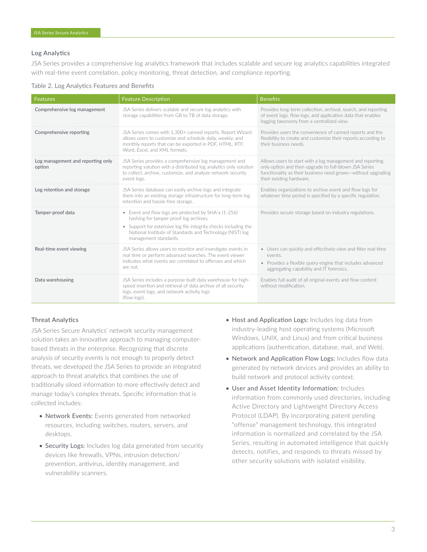#### Log Analytics

JSA Series provides a comprehensive log analytics framework that includes scalable and secure log analytics capabilities integrated with real-time event correlation, policy monitoring, threat detection, and compliance reporting.

|  |  | Table 2. Log Analytics Features and Benefits |  |  |  |
|--|--|----------------------------------------------|--|--|--|
|--|--|----------------------------------------------|--|--|--|

| <b>Features</b>                             | <b>Feature Description</b>                                                                                                                                                                                                                              | <b>Benefits</b>                                                                                                                                                                                                |
|---------------------------------------------|---------------------------------------------------------------------------------------------------------------------------------------------------------------------------------------------------------------------------------------------------------|----------------------------------------------------------------------------------------------------------------------------------------------------------------------------------------------------------------|
| Comprehensive log management                | JSA Series delivers scalable and secure log analytics with<br>storage capabilities from GB to TB of data storage.                                                                                                                                       | Provides long-term collection, archival, search, and reporting<br>of event logs, flow logs, and application data that enables<br>logging taxonomy from a centralized view.                                     |
| Comprehensive reporting                     | JSA Series comes with 1.300+ canned reports. Report Wizard<br>allows users to customize and schedule daily, weekly, and<br>monthly reports that can be exported in PDF, HTML, RTF,<br>Word, Excel, and XMI formats                                      | Provides users the convenience of canned reports and the<br>flexibility to create and customize their reports according to<br>their business needs.                                                            |
| Log management and reporting only<br>option | JSA Series provides a comprehensive log management and<br>reporting solution with a distributed log analytics only solution<br>to collect, archive, customize, and analyze network security<br>event logs.                                              | Allows users to start with a log management and reporting<br>only option and then upgrade to full-blown JSA Series<br>functionality as their business need grows-without upgrading<br>their existing hardware. |
| Log retention and storage                   | JSA Series database can easily archive logs and integrate<br>them into an existing storage infrastructure for long-term log<br>retention and hassle-free storage.                                                                                       | Enables organizations to archive event and flow logs for<br>whatever time period is specified by a specific regulation.                                                                                        |
| Tamper-proof data                           | • Event and flow logs are protected by SHA-x (1-256)<br>hashing for tamper-proof log archives.<br>• Support for extensive log file integrity checks including the<br>National Institute of Standards and Technology (NIST) log<br>management standards. | Provides secure storage based on industry regulations.                                                                                                                                                         |
| Real-time event viewing                     | JSA Series allows users to monitor and investigate events in<br>real time or perform advanced searches. The event viewer<br>indicates what events are correlated to offenses and which<br>are not.                                                      | • Users can quickly and effectively view and filter real-time<br>events.<br>• Provides a flexible query engine that includes advanced<br>aggregating capability and IT forensics.                              |
| Data warehousing                            | JSA Series includes a purpose-built data warehouse for high-<br>speed insertion and retrieval of data archive of all security<br>logs, event logs, and network activity logs<br>(flow logs).                                                            | Enables full audit of all original events and flow content<br>without modification.                                                                                                                            |

### Threat Analytics

JSA Series Secure Analytics' network security management solution takes an innovative approach to managing computerbased threats in the enterprise. Recognizing that discrete analysis of security events is not enough to properly detect threats, we developed the JSA Series to provide an integrated approach to threat analytics that combines the use of traditionally siloed information to more effectively detect and manage today's complex threats. Specific information that is collected includes:

- Network Events: Events generated from networked resources, including switches, routers, servers, and desktops.
- Security Logs: Includes log data generated from security devices like firewalls, VPNs, intrusion detection/ prevention, antivirus, identity management, and vulnerability scanners.
- Host and Application Logs: Includes log data from industry-leading host operating systems (Microsoft Windows, UNIX, and Linux) and from critical business applications (authentication, database, mail, and Web).
- Network and Application Flow Logs: Includes flow data generated by network devices and provides an ability to build network and protocol activity context.
- User and Asset Identity Information: Includes information from commonly used directories, including Active Directory and Lightweight Directory Access Protocol (LDAP). By incorporating patent pending "offense" management technology, this integrated information is normalized and correlated by the JSA Series, resulting in automated intelligence that quickly detects, notifies, and responds to threats missed by other security solutions with isolated visibility.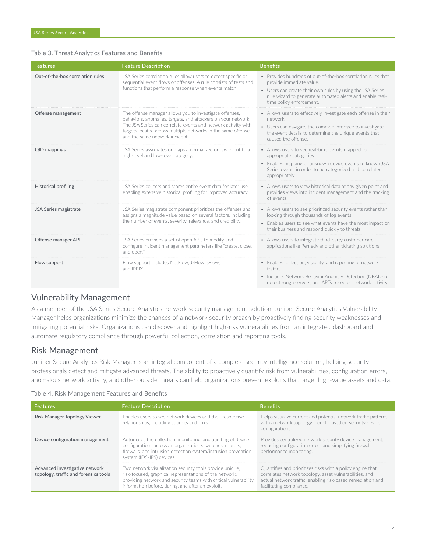#### Table 3. Threat Analytics Features and Benefits

| <b>Features</b>                  | <b>Feature Description</b>                                                                                                                                                                                                                                                                 | <b>Benefits</b>                                                                                                                                                                                                                                 |
|----------------------------------|--------------------------------------------------------------------------------------------------------------------------------------------------------------------------------------------------------------------------------------------------------------------------------------------|-------------------------------------------------------------------------------------------------------------------------------------------------------------------------------------------------------------------------------------------------|
| Out-of-the-box correlation rules | JSA Series correlation rules allow users to detect specific or<br>sequential event flows or offenses. A rule consists of tests and<br>functions that perform a response when events match.                                                                                                 | • Provides hundreds of out-of-the-box correlation rules that<br>provide immediate value.<br>• Users can create their own rules by using the JSA Series<br>rule wizard to generate automated alerts and enable real-<br>time policy enforcement. |
| Offense management               | The offense manager allows you to investigate offenses<br>behaviors, anomalies, targets, and attackers on your network.<br>The JSA Series can correlate events and network activity with<br>targets located across multiple networks in the same offense<br>and the same network incident. | • Allows users to effectively investigate each offense in their<br>network.<br>• Users can navigate the common interface to investigate<br>the event details to determine the unique events that<br>caused the offense.                         |
| QID mappings                     | JSA Series associates or maps a normalized or raw event to a<br>high-level and low-level category.                                                                                                                                                                                         | • Allows users to see real-time events mapped to<br>appropriate categories<br>• Enables mapping of unknown device events to known JSA<br>Series events in order to be categorized and correlated<br>appropriately.                              |
| <b>Historical profiling</b>      | JSA Series collects and stores entire event data for later use.<br>enabling extensive historical profiling for improved accuracy.                                                                                                                                                          | • Allows users to view historical data at any given point and<br>provides views into incident management and the tracking<br>of events                                                                                                          |
| JSA Series magistrate            | JSA Series magistrate component prioritizes the offenses and<br>assigns a magnitude value based on several factors, including<br>the number of events, severity, relevance, and credibility.                                                                                               | • Allows users to see prioritized security events rather than<br>looking through thousands of log events.<br>• Enables users to see what events have the most impact on<br>their business and respond quickly to threats.                       |
| Offense manager API              | JSA Series provides a set of open APIs to modify and<br>configure incident management parameters like "create, close,<br>and open.                                                                                                                                                         | • Allows users to integrate third-party customer care<br>applications like Remedy and other ticketing solutions.                                                                                                                                |
| Flow support                     | Flow support includes NetFlow, J-Flow, sFlow,<br>and IPFIX                                                                                                                                                                                                                                 | • Enables collection, visibility, and reporting of network<br>traffic.<br>• Includes Network Behavior Anomaly Detection (NBAD) to<br>detect rough servers, and APTs based on network activity.                                                  |

## Vulnerability Management

As a member of the JSA Series Secure Analytics network security management solution, Juniper Secure Analytics Vulnerability Manager helps organizations minimize the chances of a network security breach by proactively finding security weaknesses and mitigating potential risks. Organizations can discover and highlight high-risk vulnerabilities from an integrated dashboard and automate regulatory compliance through powerful collection, correlation and reporting tools.

## Risk Management

Juniper Secure Analytics Risk Manager is an integral component of a complete security intelligence solution, helping security professionals detect and mitigate advanced threats. The ability to proactively quantify risk from vulnerabilities, configuration errors, anomalous network activity, and other outside threats can help organizations prevent exploits that target high-value assets and data.

#### Table 4. Risk Management Features and Benefits

| Features                                                                | <b>Feature Description</b>                                                                                                                                                                                                                   | <b>Benefits</b>                                                                                                                                                                                                  |
|-------------------------------------------------------------------------|----------------------------------------------------------------------------------------------------------------------------------------------------------------------------------------------------------------------------------------------|------------------------------------------------------------------------------------------------------------------------------------------------------------------------------------------------------------------|
| Risk Manager Topology Viewer                                            | Enables users to see network devices and their respective<br>relationships, including subnets and links.                                                                                                                                     | Helps visualize current and potential network traffic patterns<br>with a network topology model, based on security device<br>configurations.                                                                     |
| Device configuration management                                         | Automates the collection, monitoring, and auditing of device<br>configurations across an organization's switches, routers,<br>firewalls, and intrusion detection system/intrusion prevention<br>system (IDS/IPS) devices.                    | Provides centralized network security device management,<br>reducing configuration errors and simplifying firewall<br>performance monitoring.                                                                    |
| Advanced investigative network<br>topology, traffic and forensics tools | Two network visualization security tools provide unique,<br>risk-focused, graphical representations of the network,<br>providing network and security teams with critical vulnerability<br>information before, during, and after an exploit. | Quantifies and prioritizes risks with a policy engine that<br>correlates network topology, asset vulnerabilities, and<br>actual network traffic, enabling risk-based remediation and<br>facilitating compliance. |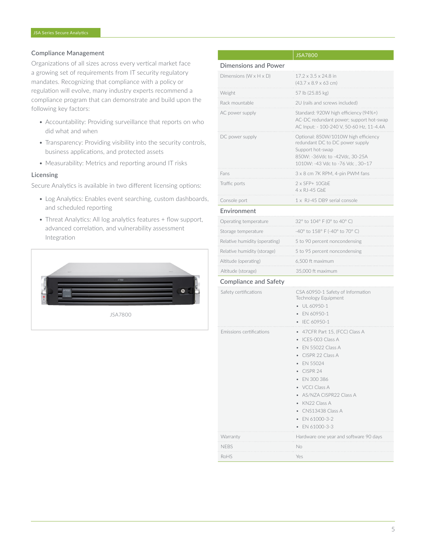#### Compliance Management

Organizations of all sizes across every vertical market face a growing set of requirements from IT security regulatory mandates. Recognizing that compliance with a policy or regulation will evolve, many industry experts recommend a compliance program that can demonstrate and build upon the following key factors:

- Accountability: Providing surveillance that reports on who did what and when
- Transparency: Providing visibility into the security controls, business applications, and protected assets
- Measurability: Metrics and reporting around IT risks

#### Licensing

Secure Analytics is available in two different licensing options:

- Log Analytics: Enables event searching, custom dashboards, and scheduled reporting
- Threat Analytics: All log analytics features + flow support, advanced correlation, and vulnerability assessment Integration



|                                      | JSA7800                                                                                                                                                                                                                                                       |
|--------------------------------------|---------------------------------------------------------------------------------------------------------------------------------------------------------------------------------------------------------------------------------------------------------------|
| <b>Dimensions and Power</b>          |                                                                                                                                                                                                                                                               |
| Dimensions ( $W \times H \times D$ ) | 17.2 x 3.5 x 24.8 in<br>$(43.7 \times 8.9 \times 63$ cm)                                                                                                                                                                                                      |
| Weight                               | 57 lb (25.85 kg)                                                                                                                                                                                                                                              |
| Rack mountable                       | 2U (rails and screws included)                                                                                                                                                                                                                                |
| AC power supply                      | Standard: 920W high efficiency (94%+)<br>AC-DC redundant power; support hot-swap<br>AC Input: - 100-240 V, 50-60 Hz, 11-4.4A                                                                                                                                  |
| DC power supply                      | Optional: 850W/1010W high efficiency<br>redundant DC to DC power supply<br>Support hot-swap<br>850W: -36Vdc to -42Vdc, 30-25A<br>1010W: -43 Vdc to -76 Vdc, 30~17                                                                                             |
| Fans                                 | 3 x 8 cm 7K RPM, 4-pin PWM fans                                                                                                                                                                                                                               |
| Traffic ports                        | $2 \times$ SFP+ 10GbE<br>4 x RJ-45 GbE                                                                                                                                                                                                                        |
| Console port                         | 1 x RJ-45 DB9 serial console                                                                                                                                                                                                                                  |
| Environment                          |                                                                                                                                                                                                                                                               |
| Operating temperature                | 32° to 104° F (0° to 40° C)                                                                                                                                                                                                                                   |
| Storage temperature                  | -40° to 158° F (-40° to 70° C)                                                                                                                                                                                                                                |
| Relative humidity (operating)        | 5 to 90 percent noncondensing                                                                                                                                                                                                                                 |
| Relative humidity (storage)          | 5 to 95 percent noncondensing                                                                                                                                                                                                                                 |
| Altitude (operating)                 | 6,500 ft maximum                                                                                                                                                                                                                                              |
| Altitude (storage)                   | 35,000 ft maximum                                                                                                                                                                                                                                             |
| <b>Compliance and Safety</b>         |                                                                                                                                                                                                                                                               |
| Safety certifications                | CSA 60950-1 Safety of Information<br>Technology Equipment<br>UL 60950-1<br>EN 60950-1<br>IEC 60950-1                                                                                                                                                          |
| Emissions certifications             | 47CFR Part 15, (FCC) Class A<br>ICES-003 Class A<br><b>EN 55022 Class A</b><br>CISPR 22 Class A<br>EN 55024<br>CISPR 24<br>EN 300 386<br>VCCI Class A<br>AS/NZA CISPR22 Class A<br>KN22 Class A<br>CNS13438 Class A<br>EN 61000-3-2<br>$\bullet$ EN 61000-3-3 |
| Warranty                             | Hardware one year and software 90 days                                                                                                                                                                                                                        |
| <b>NFBS</b>                          | No                                                                                                                                                                                                                                                            |
| RoHS                                 | Yes                                                                                                                                                                                                                                                           |